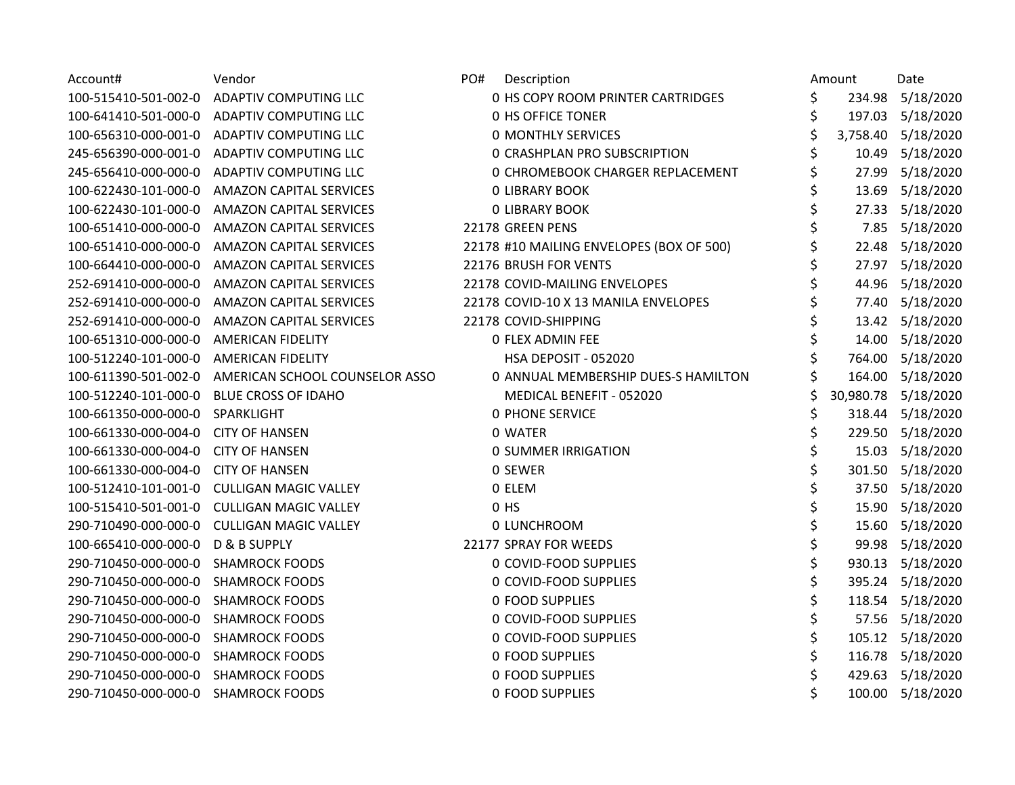| Account#                            | Vendor                                     | PO# | Description                                |    | Amount | Date                |
|-------------------------------------|--------------------------------------------|-----|--------------------------------------------|----|--------|---------------------|
| 100-515410-501-002-0                | <b>ADAPTIV COMPUTING LLC</b>               |     | 0 HS COPY ROOM PRINTER CARTRIDGES          | \$ |        | 234.98 5/18/2020    |
| 100-641410-501-000-0                | <b>ADAPTIV COMPUTING LLC</b>               |     | 0 HS OFFICE TONER                          | \$ |        | 197.03 5/18/2020    |
| 100-656310-000-001-0                | ADAPTIV COMPUTING LLC                      |     | <b>0 MONTHLY SERVICES</b>                  | \$ |        | 3,758.40 5/18/2020  |
| 245-656390-000-001-0                | <b>ADAPTIV COMPUTING LLC</b>               |     | <b>0 CRASHPLAN PRO SUBSCRIPTION</b>        |    |        | 10.49 5/18/2020     |
| 245-656410-000-000-0                | <b>ADAPTIV COMPUTING LLC</b>               |     | 0 CHROMEBOOK CHARGER REPLACEMENT           | \$ |        | 27.99 5/18/2020     |
| 100-622430-101-000-0                | <b>AMAZON CAPITAL SERVICES</b>             |     | <b>0 LIBRARY BOOK</b>                      | \$ | 13.69  | 5/18/2020           |
| 100-622430-101-000-0                | <b>AMAZON CAPITAL SERVICES</b>             |     | <b>0 LIBRARY BOOK</b>                      |    | 27.33  | 5/18/2020           |
| 100-651410-000-000-0                | <b>AMAZON CAPITAL SERVICES</b>             |     | 22178 GREEN PENS                           |    |        | 7.85 5/18/2020      |
| 100-651410-000-000-0                | <b>AMAZON CAPITAL SERVICES</b>             |     | 22178 #10 MAILING ENVELOPES (BOX OF 500)   |    |        | 22.48 5/18/2020     |
| 100-664410-000-000-0                | <b>AMAZON CAPITAL SERVICES</b>             |     | 22176 BRUSH FOR VENTS                      | \$ |        | 27.97 5/18/2020     |
| 252-691410-000-000-0                | <b>AMAZON CAPITAL SERVICES</b>             |     | 22178 COVID-MAILING ENVELOPES              | \$ |        | 44.96 5/18/2020     |
| 252-691410-000-000-0                | AMAZON CAPITAL SERVICES                    |     | 22178 COVID-10 X 13 MANILA ENVELOPES       |    | 77.40  | 5/18/2020           |
| 252-691410-000-000-0                | <b>AMAZON CAPITAL SERVICES</b>             |     | 22178 COVID-SHIPPING                       |    |        | 13.42 5/18/2020     |
| 100-651310-000-000-0                | <b>AMERICAN FIDELITY</b>                   |     | 0 FLEX ADMIN FEE                           |    |        | 14.00 5/18/2020     |
| 100-512240-101-000-0                | <b>AMERICAN FIDELITY</b>                   |     | HSA DEPOSIT - 052020                       |    |        | 764.00 5/18/2020    |
| 100-611390-501-002-0                | AMERICAN SCHOOL COUNSELOR ASSO             |     | <b>0 ANNUAL MEMBERSHIP DUES-S HAMILTON</b> |    |        | 164.00 5/18/2020    |
| 100-512240-101-000-0                | <b>BLUE CROSS OF IDAHO</b>                 |     | MEDICAL BENEFIT - 052020                   |    |        | 30,980.78 5/18/2020 |
| 100-661350-000-000-0                | SPARKLIGHT                                 |     | <b>0 PHONE SERVICE</b>                     | \$ |        | 318.44 5/18/2020    |
| 100-661330-000-004-0                | <b>CITY OF HANSEN</b>                      |     | 0 WATER                                    | \$ |        | 229.50 5/18/2020    |
| 100-661330-000-004-0                | <b>CITY OF HANSEN</b>                      |     | <b>0 SUMMER IRRIGATION</b>                 | \$ |        | 15.03 5/18/2020     |
| 100-661330-000-004-0                | <b>CITY OF HANSEN</b>                      |     | 0 SEWER                                    |    |        | 301.50 5/18/2020    |
| 100-512410-101-001-0                | <b>CULLIGAN MAGIC VALLEY</b>               |     | 0 ELEM                                     |    |        | 37.50 5/18/2020     |
|                                     | 100-515410-501-001-0 CULLIGAN MAGIC VALLEY |     | $0$ HS                                     |    |        | 15.90 5/18/2020     |
| 290-710490-000-000-0                | <b>CULLIGAN MAGIC VALLEY</b>               |     | 0 LUNCHROOM                                | \$ |        | 15.60 5/18/2020     |
| 100-665410-000-000-0                | <b>D &amp; B SUPPLY</b>                    |     | 22177 SPRAY FOR WEEDS                      | \$ | 99.98  | 5/18/2020           |
| 290-710450-000-000-0                | <b>SHAMROCK FOODS</b>                      |     | 0 COVID-FOOD SUPPLIES                      |    | 930.13 | 5/18/2020           |
| 290-710450-000-000-0                | <b>SHAMROCK FOODS</b>                      |     | 0 COVID-FOOD SUPPLIES                      |    |        | 395.24 5/18/2020    |
| 290-710450-000-000-0                | <b>SHAMROCK FOODS</b>                      |     | 0 FOOD SUPPLIES                            |    |        | 118.54 5/18/2020    |
| 290-710450-000-000-0                | <b>SHAMROCK FOODS</b>                      |     | 0 COVID-FOOD SUPPLIES                      | \$ |        | 57.56 5/18/2020     |
| 290-710450-000-000-0                | <b>SHAMROCK FOODS</b>                      |     | 0 COVID-FOOD SUPPLIES                      | \$ |        | 105.12 5/18/2020    |
| 290-710450-000-000-0                | <b>SHAMROCK FOODS</b>                      |     | 0 FOOD SUPPLIES                            | \$ |        | 116.78 5/18/2020    |
| 290-710450-000-000-0                | <b>SHAMROCK FOODS</b>                      |     | 0 FOOD SUPPLIES                            | \$ |        | 429.63 5/18/2020    |
| 290-710450-000-000-0 SHAMROCK FOODS |                                            |     | 0 FOOD SUPPLIES                            | Ś  |        | 100.00 5/18/2020    |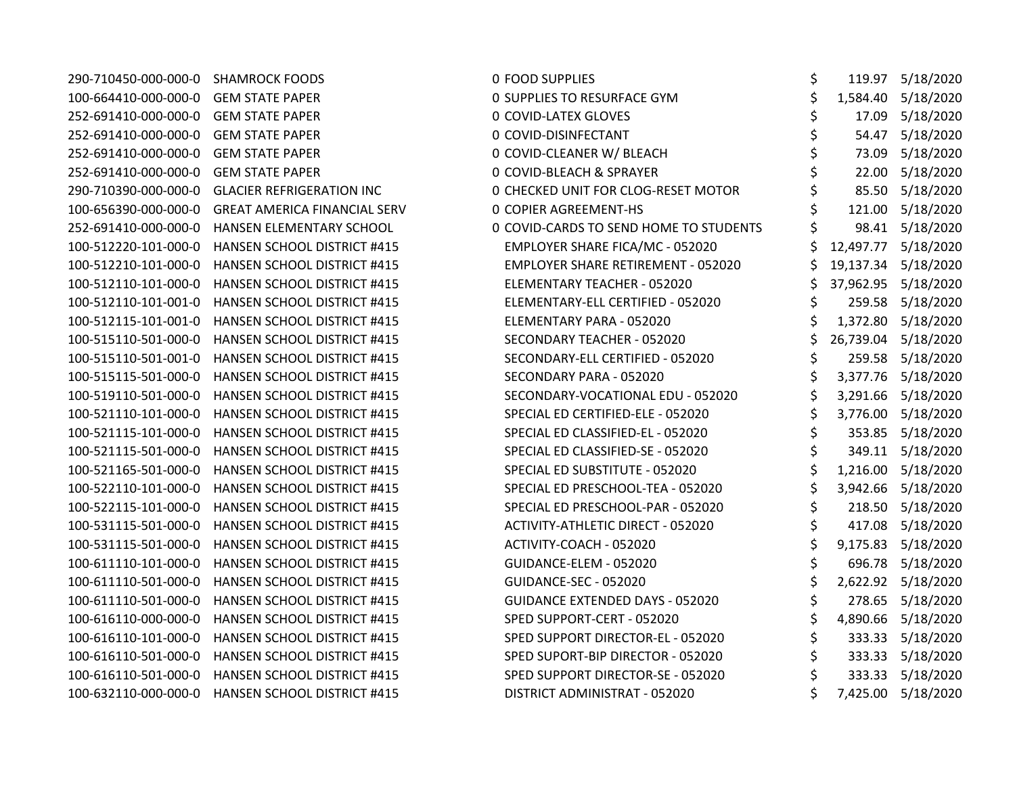| 290-710450-000-000-0 SHAMROCK FOODS |                                                  | <b>0 FOOD SUPPLIES</b>                    | \$       | 119.97 5/18/2020    |
|-------------------------------------|--------------------------------------------------|-------------------------------------------|----------|---------------------|
| 100-664410-000-000-0                | <b>GEM STATE PAPER</b>                           | <b>0 SUPPLIES TO RESURFACE GYM</b>        | \$       | 1,584.40 5/18/2020  |
| 252-691410-000-000-0                | <b>GEM STATE PAPER</b>                           | 0 COVID-LATEX GLOVES                      | 17.09    | 5/18/2020           |
| 252-691410-000-000-0                | <b>GEM STATE PAPER</b>                           | 0 COVID-DISINFECTANT                      | 54.47    | 5/18/2020           |
| 252-691410-000-000-0                | <b>GEM STATE PAPER</b>                           | 0 COVID-CLEANER W/ BLEACH                 | 73.09    | 5/18/2020           |
| 252-691410-000-000-0                | <b>GEM STATE PAPER</b>                           | 0 COVID-BLEACH & SPRAYER                  | 22.00    | 5/18/2020           |
| 290-710390-000-000-0                | <b>GLACIER REFRIGERATION INC</b>                 | 0 CHECKED UNIT FOR CLOG-RESET MOTOR       | 85.50    | 5/18/2020           |
| 100-656390-000-000-0                | <b>GREAT AMERICA FINANCIAL SERV</b>              | <b>0 COPIER AGREEMENT-HS</b>              | 121.00   | 5/18/2020           |
| 252-691410-000-000-0                | HANSEN ELEMENTARY SCHOOL                         | 0 COVID-CARDS TO SEND HOME TO STUDENTS    |          | 98.41 5/18/2020     |
| 100-512220-101-000-0                | <b>HANSEN SCHOOL DISTRICT #415</b>               | EMPLOYER SHARE FICA/MC - 052020           |          | 12,497.77 5/18/2020 |
| 100-512210-101-000-0                | HANSEN SCHOOL DISTRICT #415                      | <b>EMPLOYER SHARE RETIREMENT - 052020</b> |          | 19,137.34 5/18/2020 |
| 100-512110-101-000-0                | HANSEN SCHOOL DISTRICT #415                      | ELEMENTARY TEACHER - 052020               |          | 37,962.95 5/18/2020 |
| 100-512110-101-001-0                | HANSEN SCHOOL DISTRICT #415                      | ELEMENTARY-ELL CERTIFIED - 052020         |          | 259.58 5/18/2020    |
| 100-512115-101-001-0                | <b>HANSEN SCHOOL DISTRICT #415</b>               | ELEMENTARY PARA - 052020                  |          | 1,372.80 5/18/2020  |
| 100-515110-501-000-0                | <b>HANSEN SCHOOL DISTRICT #415</b>               | SECONDARY TEACHER - 052020                |          | 26,739.04 5/18/2020 |
| 100-515110-501-001-0                | <b>HANSEN SCHOOL DISTRICT #415</b>               | SECONDARY-ELL CERTIFIED - 052020          | \$       | 259.58 5/18/2020    |
| 100-515115-501-000-0                | <b>HANSEN SCHOOL DISTRICT #415</b>               | SECONDARY PARA - 052020                   | 3,377.76 | 5/18/2020           |
| 100-519110-501-000-0                | HANSEN SCHOOL DISTRICT #415                      | SECONDARY-VOCATIONAL EDU - 052020         | 3,291.66 | 5/18/2020           |
| 100-521110-101-000-0                | <b>HANSEN SCHOOL DISTRICT #415</b>               | SPECIAL ED CERTIFIED-ELE - 052020         |          | 3,776.00 5/18/2020  |
| 100-521115-101-000-0                | <b>HANSEN SCHOOL DISTRICT #415</b>               | SPECIAL ED CLASSIFIED-EL - 052020         |          | 353.85 5/18/2020    |
| 100-521115-501-000-0                | HANSEN SCHOOL DISTRICT #415                      | SPECIAL ED CLASSIFIED-SE - 052020         | \$       | 349.11 5/18/2020    |
| 100-521165-501-000-0                | HANSEN SCHOOL DISTRICT #415                      | SPECIAL ED SUBSTITUTE - 052020            |          | 1,216.00 5/18/2020  |
| 100-522110-101-000-0                | HANSEN SCHOOL DISTRICT #415                      | SPECIAL ED PRESCHOOL-TEA - 052020         |          | 3,942.66 5/18/2020  |
| 100-522115-101-000-0                | <b>HANSEN SCHOOL DISTRICT #415</b>               | SPECIAL ED PRESCHOOL-PAR - 052020         |          | 218.50 5/18/2020    |
| 100-531115-501-000-0                | <b>HANSEN SCHOOL DISTRICT #415</b>               | ACTIVITY-ATHLETIC DIRECT - 052020         | 417.08   | 5/18/2020           |
| 100-531115-501-000-0                | HANSEN SCHOOL DISTRICT #415                      | ACTIVITY-COACH - 052020                   | 9,175.83 | 5/18/2020           |
| 100-611110-101-000-0                | HANSEN SCHOOL DISTRICT #415                      | GUIDANCE-ELEM - 052020                    | 696.78   | 5/18/2020           |
| 100-611110-501-000-0                | HANSEN SCHOOL DISTRICT #415                      | GUIDANCE-SEC - 052020                     |          | 2,622.92 5/18/2020  |
| 100-611110-501-000-0                | HANSEN SCHOOL DISTRICT #415                      | <b>GUIDANCE EXTENDED DAYS - 052020</b>    |          | 278.65 5/18/2020    |
| 100-616110-000-000-0                | HANSEN SCHOOL DISTRICT #415                      | SPED SUPPORT-CERT - 052020                |          | 4,890.66 5/18/2020  |
| 100-616110-101-000-0                | <b>HANSEN SCHOOL DISTRICT #415</b>               | SPED SUPPORT DIRECTOR-EL - 052020         |          | 333.33 5/18/2020    |
| 100-616110-501-000-0                | HANSEN SCHOOL DISTRICT #415                      | SPED SUPORT-BIP DIRECTOR - 052020         |          | 333.33 5/18/2020    |
| 100-616110-501-000-0                | <b>HANSEN SCHOOL DISTRICT #415</b>               | SPED SUPPORT DIRECTOR-SE - 052020         |          | 333.33 5/18/2020    |
|                                     | 100-632110-000-000-0 HANSEN SCHOOL DISTRICT #415 | DISTRICT ADMINISTRAT - 052020             |          | 7,425.00 5/18/2020  |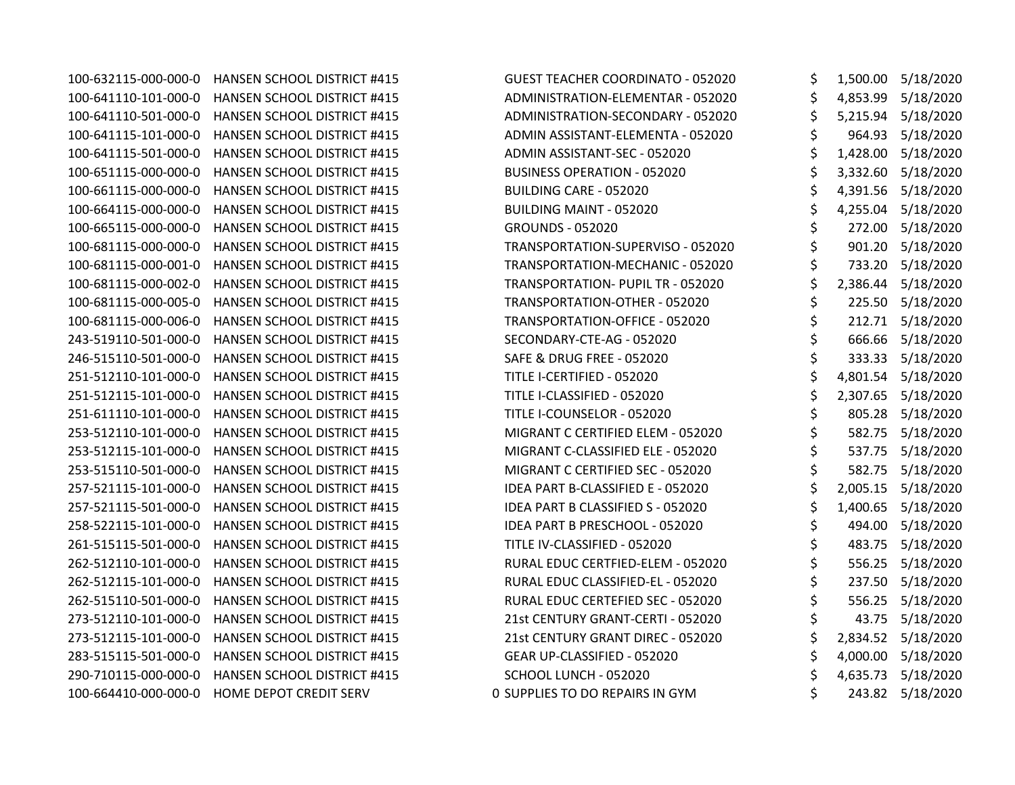| 100-632115-000-000-0 | HANSEN SCHOOL DISTRICT #415        | <b>GUEST TEACHER COORDINATO - 052020</b> | \$             | 1,500.00 5/18/2020 |
|----------------------|------------------------------------|------------------------------------------|----------------|--------------------|
| 100-641110-101-000-0 | <b>HANSEN SCHOOL DISTRICT #415</b> | ADMINISTRATION-ELEMENTAR - 052020        | \$             | 4,853.99 5/18/2020 |
| 100-641110-501-000-0 | HANSEN SCHOOL DISTRICT #415        | ADMINISTRATION-SECONDARY - 052020        | \$             | 5,215.94 5/18/2020 |
| 100-641115-101-000-0 | HANSEN SCHOOL DISTRICT #415        | ADMIN ASSISTANT-ELEMENTA - 052020        | \$             | 964.93 5/18/2020   |
| 100-641115-501-000-0 | HANSEN SCHOOL DISTRICT #415        | ADMIN ASSISTANT-SEC - 052020             | \$             | 1,428.00 5/18/2020 |
| 100-651115-000-000-0 | HANSEN SCHOOL DISTRICT #415        | <b>BUSINESS OPERATION - 052020</b>       | \$             | 3,332.60 5/18/2020 |
| 100-661115-000-000-0 | HANSEN SCHOOL DISTRICT #415        | BUILDING CARE - 052020                   | \$             | 4,391.56 5/18/2020 |
| 100-664115-000-000-0 | HANSEN SCHOOL DISTRICT #415        | <b>BUILDING MAINT - 052020</b>           | \$<br>4,255.04 | 5/18/2020          |
| 100-665115-000-000-0 | HANSEN SCHOOL DISTRICT #415        | <b>GROUNDS - 052020</b>                  | \$<br>272.00   | 5/18/2020          |
| 100-681115-000-000-0 | HANSEN SCHOOL DISTRICT #415        | TRANSPORTATION-SUPERVISO - 052020        | \$             | 901.20 5/18/2020   |
| 100-681115-000-001-0 | HANSEN SCHOOL DISTRICT #415        | TRANSPORTATION-MECHANIC - 052020         | \$             | 733.20 5/18/2020   |
| 100-681115-000-002-0 | HANSEN SCHOOL DISTRICT #415        | TRANSPORTATION- PUPIL TR - 052020        | \$<br>2,386.44 | 5/18/2020          |
| 100-681115-000-005-0 | HANSEN SCHOOL DISTRICT #415        | TRANSPORTATION-OTHER - 052020            | \$             | 225.50 5/18/2020   |
| 100-681115-000-006-0 | HANSEN SCHOOL DISTRICT #415        | TRANSPORTATION-OFFICE - 052020           | \$             | 212.71 5/18/2020   |
| 243-519110-501-000-0 | HANSEN SCHOOL DISTRICT #415        | SECONDARY-CTE-AG - 052020                | \$             | 666.66 5/18/2020   |
| 246-515110-501-000-0 | HANSEN SCHOOL DISTRICT #415        | SAFE & DRUG FREE - 052020                | \$             | 333.33 5/18/2020   |
| 251-512110-101-000-0 | HANSEN SCHOOL DISTRICT #415        | TITLE I-CERTIFIED - 052020               | \$             | 4,801.54 5/18/2020 |
| 251-512115-101-000-0 | HANSEN SCHOOL DISTRICT #415        | TITLE I-CLASSIFIED - 052020              | \$<br>2,307.65 | 5/18/2020          |
| 251-611110-101-000-0 | HANSEN SCHOOL DISTRICT #415        | TITLE I-COUNSELOR - 052020               | \$             | 805.28 5/18/2020   |
| 253-512110-101-000-0 | HANSEN SCHOOL DISTRICT #415        | MIGRANT C CERTIFIED ELEM - 052020        | \$             | 582.75 5/18/2020   |
| 253-512115-101-000-0 | HANSEN SCHOOL DISTRICT #415        | MIGRANT C-CLASSIFIED ELE - 052020        | \$             | 537.75 5/18/2020   |
| 253-515110-501-000-0 | HANSEN SCHOOL DISTRICT #415        | MIGRANT C CERTIFIED SEC - 052020         | \$             | 582.75 5/18/2020   |
| 257-521115-101-000-0 | HANSEN SCHOOL DISTRICT #415        | IDEA PART B-CLASSIFIED E - 052020        | \$             | 2,005.15 5/18/2020 |
| 257-521115-501-000-0 | HANSEN SCHOOL DISTRICT #415        | IDEA PART B CLASSIFIED S - 052020        | \$             | 1,400.65 5/18/2020 |
| 258-522115-101-000-0 | HANSEN SCHOOL DISTRICT #415        | IDEA PART B PRESCHOOL - 052020           | \$             | 494.00 5/18/2020   |
| 261-515115-501-000-0 | HANSEN SCHOOL DISTRICT #415        | TITLE IV-CLASSIFIED - 052020             | \$             | 483.75 5/18/2020   |
| 262-512110-101-000-0 | HANSEN SCHOOL DISTRICT #415        | RURAL EDUC CERTFIED-ELEM - 052020        | \$             | 556.25 5/18/2020   |
| 262-512115-101-000-0 | HANSEN SCHOOL DISTRICT #415        | RURAL EDUC CLASSIFIED-EL - 052020        | \$<br>237.50   | 5/18/2020          |
| 262-515110-501-000-0 | HANSEN SCHOOL DISTRICT #415        | RURAL EDUC CERTEFIED SEC - 052020        | \$             | 556.25 5/18/2020   |
| 273-512110-101-000-0 | HANSEN SCHOOL DISTRICT #415        | 21st CENTURY GRANT-CERTI - 052020        | \$             | 43.75 5/18/2020    |
| 273-512115-101-000-0 | HANSEN SCHOOL DISTRICT #415        | 21st CENTURY GRANT DIREC - 052020        | \$             | 2,834.52 5/18/2020 |
| 283-515115-501-000-0 | HANSEN SCHOOL DISTRICT #415        | GEAR UP-CLASSIFIED - 052020              | \$             | 4,000.00 5/18/2020 |
| 290-710115-000-000-0 | HANSEN SCHOOL DISTRICT #415        | SCHOOL LUNCH - 052020                    | \$<br>4,635.73 | 5/18/2020          |
| 100-664410-000-000-0 | HOME DEPOT CREDIT SERV             | 0 SUPPLIES TO DO REPAIRS IN GYM          | \$             | 243.82 5/18/2020   |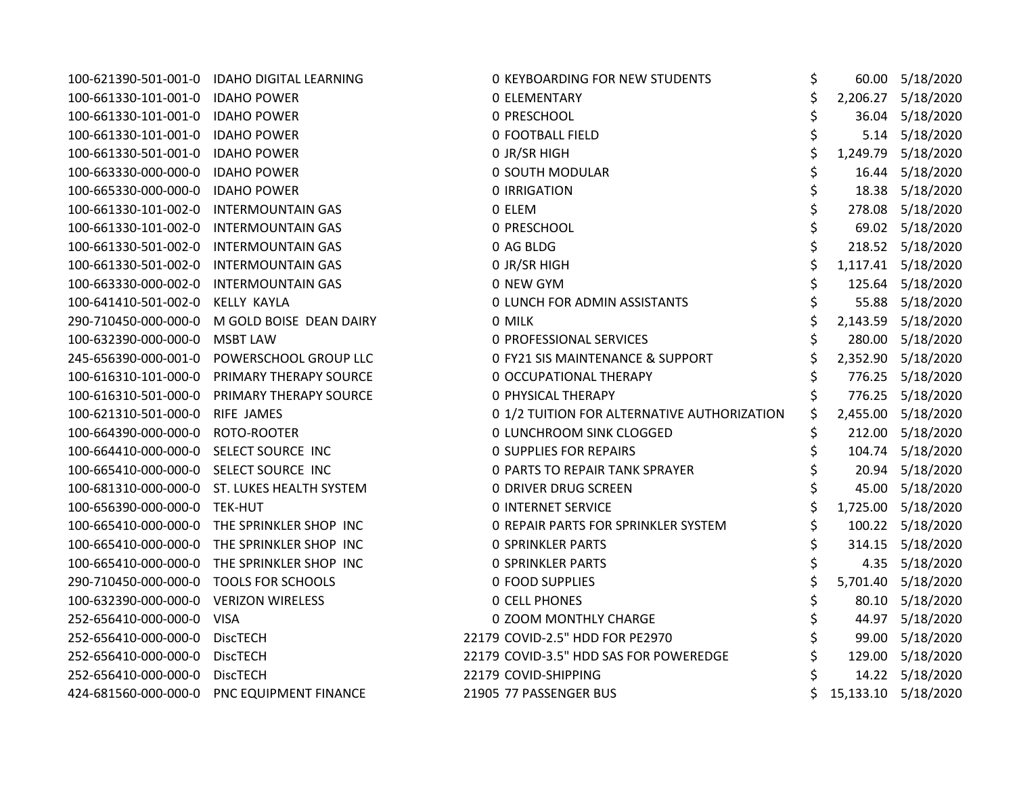|                                        | 100-621390-501-001-0 IDAHO DIGITAL LEARNING  | <b>0 KEYBOARDING FOR NEW STUDENTS</b>       | \$ | 60.00 5/18/2020     |
|----------------------------------------|----------------------------------------------|---------------------------------------------|----|---------------------|
| 100-661330-101-001-0 IDAHO POWER       |                                              | <b>0 ELEMENTARY</b>                         | \$ | 2,206.27 5/18/2020  |
| 100-661330-101-001-0 IDAHO POWER       |                                              | 0 PRESCHOOL                                 | \$ | 36.04 5/18/2020     |
| 100-661330-101-001-0 IDAHO POWER       |                                              | <b>0 FOOTBALL FIELD</b>                     |    | 5.14 5/18/2020      |
| 100-661330-501-001-0                   | <b>IDAHO POWER</b>                           | 0 JR/SR HIGH                                | \$ | 1,249.79 5/18/2020  |
| 100-663330-000-000-0                   | <b>IDAHO POWER</b>                           | 0 SOUTH MODULAR                             | \$ | 16.44 5/18/2020     |
| 100-665330-000-000-0                   | <b>IDAHO POWER</b>                           | <b>0 IRRIGATION</b>                         | \$ | 18.38 5/18/2020     |
| 100-661330-101-002-0                   | <b>INTERMOUNTAIN GAS</b>                     | 0 ELEM                                      | \$ | 278.08 5/18/2020    |
| 100-661330-101-002-0                   | <b>INTERMOUNTAIN GAS</b>                     | 0 PRESCHOOL                                 |    | 69.02 5/18/2020     |
| 100-661330-501-002-0                   | <b>INTERMOUNTAIN GAS</b>                     | 0 AG BLDG                                   |    | 218.52 5/18/2020    |
| 100-661330-501-002-0                   | <b>INTERMOUNTAIN GAS</b>                     | 0 JR/SR HIGH                                | \$ | 1,117.41 5/18/2020  |
| 100-663330-000-002-0                   | <b>INTERMOUNTAIN GAS</b>                     | 0 NEW GYM                                   | \$ | 125.64 5/18/2020    |
| 100-641410-501-002-0                   | <b>KELLY KAYLA</b>                           | 0 LUNCH FOR ADMIN ASSISTANTS                |    | 55.88 5/18/2020     |
|                                        | 290-710450-000-000-0 M GOLD BOISE DEAN DAIRY | 0 MILK                                      | \$ | 2,143.59 5/18/2020  |
| 100-632390-000-000-0                   | <b>MSBT LAW</b>                              | 0 PROFESSIONAL SERVICES                     |    | 280.00 5/18/2020    |
| 245-656390-000-001-0                   | POWERSCHOOL GROUP LLC                        | 0 FY21 SIS MAINTENANCE & SUPPORT            | \$ | 2,352.90 5/18/2020  |
| 100-616310-101-000-0                   | PRIMARY THERAPY SOURCE                       | 0 OCCUPATIONAL THERAPY                      | \$ | 776.25 5/18/2020    |
| 100-616310-501-000-0                   | PRIMARY THERAPY SOURCE                       | <b>0 PHYSICAL THERAPY</b>                   |    | 776.25 5/18/2020    |
| 100-621310-501-000-0                   | <b>RIFE JAMES</b>                            | 0 1/2 TUITION FOR ALTERNATIVE AUTHORIZATION | \$ | 2,455.00 5/18/2020  |
| 100-664390-000-000-0 ROTO-ROOTER       |                                              | 0 LUNCHROOM SINK CLOGGED                    | \$ | 212.00 5/18/2020    |
| 100-664410-000-000-0 SELECT SOURCE INC |                                              | <b>0 SUPPLIES FOR REPAIRS</b>               | Ś  | 104.74 5/18/2020    |
| 100-665410-000-000-0 SELECT SOURCE INC |                                              | <b>0 PARTS TO REPAIR TANK SPRAYER</b>       |    | 20.94 5/18/2020     |
|                                        | 100-681310-000-000-0 ST. LUKES HEALTH SYSTEM | 0 DRIVER DRUG SCREEN                        |    | 45.00 5/18/2020     |
| 100-656390-000-000-0 TEK-HUT           |                                              | <b>0 INTERNET SERVICE</b>                   |    | 1,725.00 5/18/2020  |
|                                        | 100-665410-000-000-0 THE SPRINKLER SHOP INC  | O REPAIR PARTS FOR SPRINKLER SYSTEM         | \$ | 100.22 5/18/2020    |
| 100-665410-000-000-0                   | THE SPRINKLER SHOP INC                       | <b>0 SPRINKLER PARTS</b>                    |    | 314.15 5/18/2020    |
| 100-665410-000-000-0                   | THE SPRINKLER SHOP INC                       | <b>0 SPRINKLER PARTS</b>                    | Ś  | 4.35 5/18/2020      |
| 290-710450-000-000-0                   | <b>TOOLS FOR SCHOOLS</b>                     | <b>0 FOOD SUPPLIES</b>                      | \$ | 5,701.40 5/18/2020  |
| 100-632390-000-000-0 VERIZON WIRELESS  |                                              | <b>0 CELL PHONES</b>                        |    | 80.10 5/18/2020     |
| 252-656410-000-000-0 VISA              |                                              | 0 ZOOM MONTHLY CHARGE                       | \$ | 44.97 5/18/2020     |
| 252-656410-000-000-0                   | <b>DiscTECH</b>                              | 22179 COVID-2.5" HDD FOR PE2970             | \$ | 99.00 5/18/2020     |
| 252-656410-000-000-0                   | <b>DiscTECH</b>                              | 22179 COVID-3.5" HDD SAS FOR POWEREDGE      |    | 129.00 5/18/2020    |
| 252-656410-000-000-0                   | <b>DiscTECH</b>                              | 22179 COVID-SHIPPING                        |    | 14.22 5/18/2020     |
|                                        | 424-681560-000-000-0 PNC EQUIPMENT FINANCE   | 21905 77 PASSENGER BUS                      |    | 15,133.10 5/18/2020 |